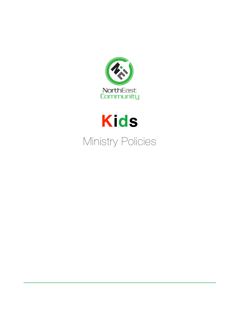



# Ministry Policies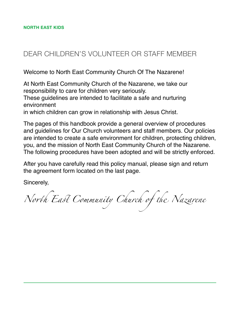# DEAR CHILDREN'S VOLUNTEER OR STAFF MEMBER

Welcome to North East Community Church Of The Nazarene!

At North East Community Church of the Nazarene, we take our responsibility to care for children very seriously.

These guidelines are intended to facilitate a safe and nurturing environment

in which children can grow in relationship with Jesus Christ.

The pages of this handbook provide a general overview of procedures and guidelines for Our Church volunteers and staff members. Our policies are intended to create a safe environment for children, protecting children, you, and the mission of North East Community Church of the Nazarene. The following procedures have been adopted and will be strictly enforced.

After you have carefully read this policy manual, please sign and return the agreement form located on the last page.

Sincerely,

North East Community Church of the Nazarene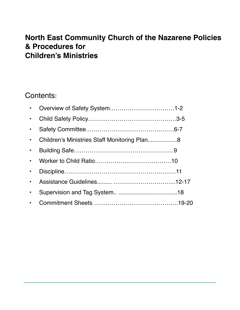# **North East Community Church of the Nazarene Policies & Procedures for Children's Ministries**

# Contents:

| $\bullet$ |                                              |  |
|-----------|----------------------------------------------|--|
| $\bullet$ |                                              |  |
| $\bullet$ |                                              |  |
| $\bullet$ | Children's Ministries Staff Monitoring Plan8 |  |
| $\bullet$ |                                              |  |
| $\bullet$ |                                              |  |
| $\bullet$ |                                              |  |
| $\bullet$ |                                              |  |
|           |                                              |  |
| $\bullet$ |                                              |  |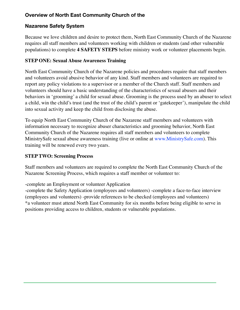## **Overview of North East Community Church of the**

#### **Nazarene Safety System**

Because we love children and desire to protect them, North East Community Church of the Nazarene requires all staff members and volunteers working with children or students (and other vulnerable populations) to complete **4 SAFETY STEPS** before ministry work or volunteer placements begin.

#### **STEP ONE: Sexual Abuse Awareness Training**

North East Community Church of the Nazarene policies and procedures require that staff members and volunteers avoid abusive behavior of any kind. Staff members and volunteers are required to report any policy violations to a supervisor or a member of the Church staff. Staff members and volunteers should have a basic understanding of the characteristics of sexual abusers and their behaviors in 'grooming' a child for sexual abuse. Grooming is the process used by an abuser to select a child, win the child's trust (and the trust of the child's parent or 'gatekeeper'), manipulate the child into sexual activity and keep the child from disclosing the abuse.

To equip North East Community Church of the Nazarene staff members and volunteers with information necessary to recognize abuser characteristics and grooming behavior, North East Community Church of the Nazarene requires all staff members and volunteers to complete MinistrySafe sexual abuse awareness training (live or online at www.MinistrySafe.com). This training will be renewed every two years.

#### **STEP TWO: Screening Process**

Staff members and volunteers are required to complete the North East Community Church of the Nazarene Screening Process, which requires a staff member or volunteer to:

-complete an Employment or volunteer Application

-complete the Safety Application (employees and volunteers) -complete a face-to-face interview (employees and volunteers) -provide references to be checked (employees and volunteers) \*a volunteer must attend North East Community for six months before being eligible to serve in positions providing access to children, students or vulnerable populations.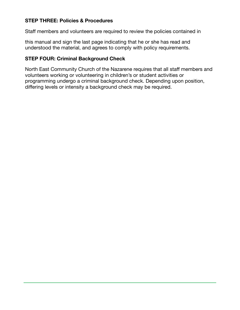#### **STEP THREE: Policies & Procedures**

Staff members and volunteers are required to review the policies contained in

this manual and sign the last page indicating that he or she has read and understood the material, and agrees to comply with policy requirements.

## **STEP FOUR: Criminal Background Check**

North East Community Church of the Nazarene requires that all staff members and volunteers working or volunteering in children's or student activities or programming undergo a criminal background check. Depending upon position, differing levels or intensity a background check may be required.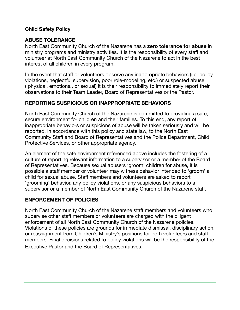#### **Child Safety Policy**

#### **ABUSE TOLERANCE**

North East Community Church of the Nazarene has a **zero tolerance for abuse** in ministry programs and ministry activities. It is the responsibility of every staff and volunteer at North East Community Church of the Nazarene to act in the best interest of all children in every program.

In the event that staff or volunteers observe any inappropriate behaviors (i.e. policy violations, neglectful supervision, poor role-modeling, etc.) or suspected abuse ( physical, emotional, or sexual) it is their responsibility to immediately report their observations to their Team Leader, Board of Representatives or the Pastor.

#### **REPORTING SUSPICIOUS OR INAPPROPRIATE BEHAVIORS**

North East Community Church of the Nazarene is committed to providing a safe, secure environment for children and their families. To this end, any report of inappropriate behaviors or suspicions of abuse will be taken seriously and will be reported, in accordance with this policy and state law, to the North East Community Staff and Board of Representatives and the Police Department, Child Protective Services, or other appropriate agency.

An element of the safe environment referenced above includes the fostering of a culture of reporting relevant information to a supervisor or a member of the Board of Representatives. Because sexual abusers 'groom' children for abuse, it is possible a staff member or volunteer may witness behavior intended to 'groom' a child for sexual abuse. Staff members and volunteers are asked to report 'grooming' behavior, any policy violations, or any suspicious behaviors to a supervisor or a member of North East Community Church of the Nazarene staff.

#### **ENFORCEMENT OF POLICIES**

North East Community Church of the Nazarene staff members and volunteers who supervise other staff members or volunteers are charged with the diligent enforcement of all North East Community Church of the Nazarene policies. Violations of these policies are grounds for immediate dismissal, disciplinary action, or reassignment from Children's Ministry's positions for both volunteers and staff members. Final decisions related to policy violations will be the responsibility of the Executive Pastor and the Board of Representatives.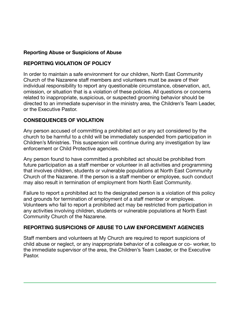## **Reporting Abuse or Suspicions of Abuse**

#### **REPORTING VIOLATION OF POLICY**

In order to maintain a safe environment for our children, North East Community Church of the Nazarene staff members and volunteers must be aware of their individual responsibility to report any questionable circumstance, observation, act, omission, or situation that is a violation of these policies. All questions or concerns related to inappropriate, suspicious, or suspected grooming behavior should be directed to an immediate supervisor in the ministry area, the Children's Team Leader, or the Executive Pastor.

#### **CONSEQUENCES OF VIOLATION**

Any person accused of committing a prohibited act or any act considered by the church to be harmful to a child will be immediately suspended from participation in Children's Ministries. This suspension will continue during any investigation by law enforcement or Child Protective agencies.

Any person found to have committed a prohibited act should be prohibited from future participation as a staff member or volunteer in all activities and programming that involves children, students or vulnerable populations at North East Community Church of the Nazarene. If the person is a staff member or employee, such conduct may also result in termination of employment from North East Community.

Failure to report a prohibited act to the designated person is a violation of this policy and grounds for termination of employment of a staff member or employee. Volunteers who fail to report a prohibited act may be restricted from participation in any activities involving children, students or vulnerable populations at North East Community Church of the Nazarene.

# **REPORTING SUSPICIONS OF ABUSE TO LAW ENFORCEMENT AGENCIES**

Staff members and volunteers at My Church are required to report suspicions of child abuse or neglect, or any inappropriate behavior of a colleague or co- worker, to the immediate supervisor of the area, the Children's Team Leader, or the Executive Pastor.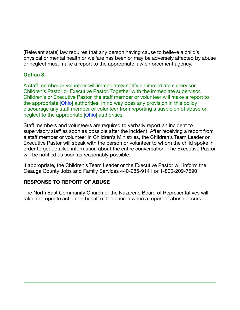(Relevant state) law requires that any person having cause to believe a child's physical or mental health or welfare has been or may be adversely affected by abuse or neglect must make a report to the appropriate law enforcement agency.

#### **Option 3.**

A staff member or volunteer will immediately notify an immediate supervisor, Children's Pastor or Executive Pastor. Together with the immediate supervisor, Children's or Executive Pastor, the staff member or volunteer will make a report to the appropriate [Ohio] authorities. In no way does any provision in this policy discourage any staff member or volunteer from reporting a suspicion of abuse or neglect to the appropriate [Ohio] authorities.

Staff members and volunteers are required to verbally report an incident to supervisory staff as soon as possible after the incident. After receiving a report from a staff member or volunteer in Children's Ministries, the Children's Team Leader or Executive Pastor will speak with the person or volunteer to whom the child spoke in order to get detailed information about the entire conversation. The Executive Pastor will be notified as soon as reasonably possible.

If appropriate, the Children's Team Leader or the Executive Pastor will inform the Geauga County Jobs and Family Services 440-285-9141 or 1-800-209-7590

#### **RESPONSE TO REPORT OF ABUSE**

The North East Community Church of the Nazarene Board of Representatives will take appropriate action on behalf of the church when a report of abuse occurs.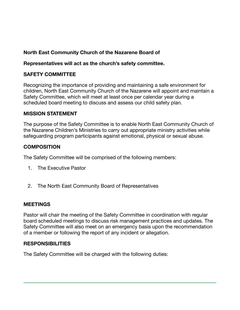# **North East Community Church of the Nazarene Board of**

#### **Representatives will act as the church's safety committee.**

#### **SAFETY COMMITTEE**

Recognizing the importance of providing and maintaining a safe environment for children, North East Community Church of the Nazarene will appoint and maintain a Safety Committee, which will meet at least once per calendar year during a scheduled board meeting to discuss and assess our child safety plan.

#### **MISSION STATEMENT**

The purpose of the Safety Committee is to enable North East Community Church of the Nazarene Children's Ministries to carry out appropriate ministry activities while safeguarding program participants against emotional, physical or sexual abuse.

#### **COMPOSITION**

The Safety Committee will be comprised of the following members:

- 1. The Executive Pastor
- 2. The North East Community Board of Representatives

#### **MEETINGS**

Pastor will chair the meeting of the Safety Committee in coordination with regular board scheduled meetings to discuss risk management practices and updates. The Safety Committee will also meet on an emergency basis upon the recommendation of a member or following the report of any incident or allegation.

#### **RESPONSIBILITIES**

The Safety Committee will be charged with the following duties: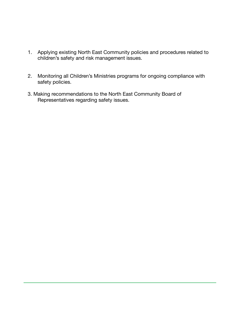- 1. Applying existing North East Community policies and procedures related to children's safety and risk management issues.
- 2. Monitoring all Children's Ministries programs for ongoing compliance with safety policies.
- 3. Making recommendations to the North East Community Board of Representatives regarding safety issues.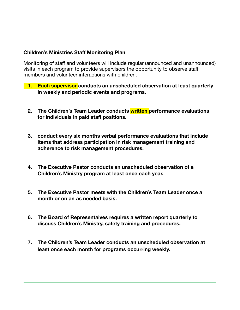#### **Children's Ministries Staff Monitoring Plan**

Monitoring of staff and volunteers will include regular (announced and unannounced) visits in each program to provide supervisors the opportunity to observe staff members and volunteer interactions with children.

- **1. Each supervisor** conducts an unscheduled observation at least quarterly **in weekly and periodic events and programs.** 
	- **2. The Children's Team Leader conducts written performance evaluations for individuals in paid staff positions.**
	- **3. conduct every six months verbal performance evaluations that include items that address participation in risk management training and adherence to risk management procedures.**
	- **4. The Executive Pastor conducts an unscheduled observation of a Children's Ministry program at least once each year.**
	- **5. The Executive Pastor meets with the Children's Team Leader once a month or on an as needed basis.**
	- **6. The Board of Representaives requires a written report quarterly to discuss Children's Ministry, safety training and procedures.**
	- **7. The Children's Team Leader conducts an unscheduled observation at least once each month for programs occurring weekly.**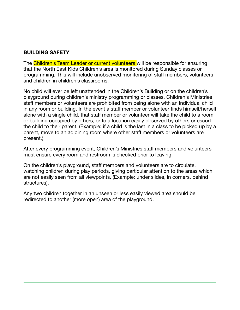#### **BUILDING SAFETY**

The Children's Team Leader or current volunteers will be responsible for ensuring that the North East Kids Children's area is monitored during Sunday classes or programming. This will include unobserved monitoring of staff members, volunteers and children in children's classrooms.

No child will ever be left unattended in the Children's Building or on the children's playground during children's ministry programming or classes. Children's Ministries staff members or volunteers are prohibited from being alone with an individual child in any room or building. In the event a staff member or volunteer finds himself/herself alone with a single child, that staff member or volunteer will take the child to a room or building occupied by others, or to a location easily observed by others or escort the child to their parent. (Example: if a child is the last in a class to be picked up by a parent, move to an adjoining room where other staff members or volunteers are present.)

After every programming event, Children's Ministries staff members and volunteers must ensure every room and restroom is checked prior to leaving.

On the children's playground, staff members and volunteers are to circulate, watching children during play periods, giving particular attention to the areas which are not easily seen from all viewpoints. (Example: under slides, in corners, behind structures).

Any two children together in an unseen or less easily viewed area should be redirected to another (more open) area of the playground.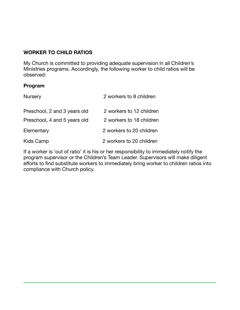# **WORKER TO CHILD RATIOS**

My Church is committed to providing adequate supervision in all Children's Ministries programs. Accordingly, the following worker to child ratios will be observed:

#### **Program**

| <b>Nursery</b>               | 2 workers to 8 children  |  |
|------------------------------|--------------------------|--|
| Preschool, 2 and 3 years old | 2 workers to 12 children |  |
| Preschool, 4 and 5 years old | 2 workers to 18 children |  |
| Elementary                   | 2 workers to 20 children |  |
| Kids Camp                    | 2 workers to 20 children |  |

If a worker is 'out of ratio' it is his or her responsibility to immediately notify the program supervisor or the Children's Team Leader. Supervisors will make diligent efforts to find substitute workers to immediately bring worker to children ratios into compliance with Church policy.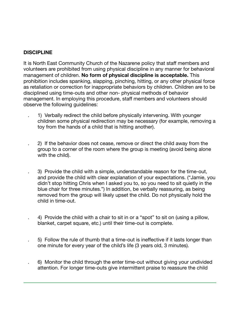## **DISCIPLINE**

It is North East Community Church of the Nazarene policy that staff members and volunteers are prohibited from using physical discipline in any manner for behavioral management of children. **No form of physical discipline is acceptable.** This prohibition includes spanking, slapping, pinching, hitting, or any other physical force as retaliation or correction for inappropriate behaviors by children. Children are to be disciplined using time-outs and other non- physical methods of behavior management. In employing this procedure, staff members and volunteers should observe the following guidelines:

- . 1) Verbally redirect the child before physically intervening. With younger children some physical redirection may be necessary (for example, removing a toy from the hands of a child that is hitting another).
- . 2) If the behavior does not cease, remove or direct the child away from the group to a corner of the room where the group is meeting (avoid being alone with the child).
- . 3) Provide the child with a simple, understandable reason for the time-out, and provide the child with clear explanation of your expectations. ("Jamie, you didn't stop hitting Chris when I asked you to, so you need to sit quietly in the blue chair for three minutes.") In addition, be verbally reassuring, as being removed from the group will likely upset the child. Do not physically hold the child in time-out.
- . 4) Provide the child with a chair to sit in or a "spot" to sit on (using a pillow, blanket, carpet square, etc.) until their time-out is complete.
- . 5) Follow the rule of thumb that a time-out is ineffective if it lasts longer than one minute for every year of the child's life (3 years old, 3 minutes).
- . 6) Monitor the child through the enter time-out without giving your undivided attention. For longer time-outs give intermittent praise to reassure the child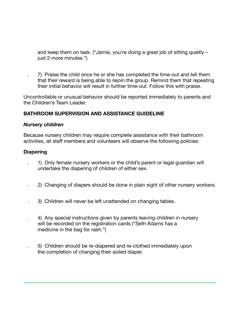and keep them on task. ("Jamie, you're doing a great job of sitting quietly – just 2 more minutes.")

 . 7) Praise the child once he or she has completed the time-out and tell them that their reward is being able to rejoin the group. Remind them that repeating their initial behavior will result in further time-out. Follow this with praise.

Uncontrollable or unusual behavior should be reported immediately to parents and the Children's Team Leader.

#### **BATHROOM SUPERVISION AND ASSISTANCE GUIDELINE**

#### *Nursery children*

Because nursery children may require complete assistance with their bathroom activities, all staff members and volunteers will observe the following policies:

#### **Diapering**

- . 1) Only female nursery workers or the child's parent or legal guardian will undertake the diapering of children of either sex.
- . 2) Changing of diapers should be done in plain sight of other nursery workers.
- . 3) Children will never be left unattended on changing tables.
- . 4) Any special instructions given by parents leaving children in nursery will be recorded on the registration cards ("Seth Adams has a medicine in the bag for rash.")
- . 5) Children should be re-diapered and re-clothed immediately upon the completion of changing their soiled diaper.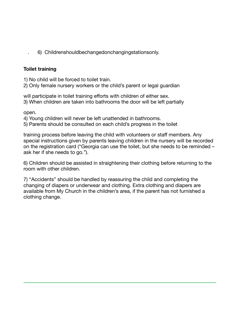. 6) Childrenshouldbechangedonchangingstationsonly.

#### **Toilet training**

1) No child will be forced to toilet train.

2) Only female nursery workers or the child's parent or legal guardian

will participate in toilet training efforts with children of either sex. 3) When children are taken into bathrooms the door will be left partially

open.

4) Young children will never be left unattended in bathrooms.

5) Parents should be consulted on each child's progress in the toilet

training process before leaving the child with volunteers or staff members. Any special instructions given by parents leaving children in the nursery will be recorded on the registration card ("Georgia can use the toilet, but she needs to be reminded – ask her if she needs to go.").

6) Children should be assisted in straightening their clothing before returning to the room with other children.

7) "Accidents" should be handled by reassuring the child and completing the changing of diapers or underwear and clothing. Extra clothing and diapers are available from My Church in the children's area, if the parent has not furnished a clothing change.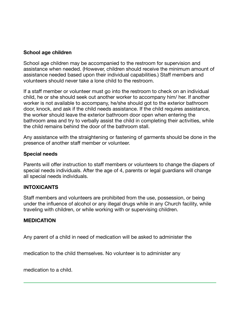#### **School age children**

School age children may be accompanied to the restroom for supervision and assistance when needed. (However, children should receive the minimum amount of assistance needed based upon their individual capabilities.) Staff members and volunteers should never take a lone child to the restroom.

If a staff member or volunteer must go into the restroom to check on an individual child, he or she should seek out another worker to accompany him/ her. If another worker is not available to accompany, he/she should got to the exterior bathroom door, knock, and ask if the child needs assistance. If the child requires assistance, the worker should leave the exterior bathroom door open when entering the bathroom area and try to verbally assist the child in completing their activities, while the child remains behind the door of the bathroom stall.

Any assistance with the straightening or fastening of garments should be done in the presence of another staff member or volunteer.

#### **Special needs**

Parents will offer instruction to staff members or volunteers to change the diapers of special needs individuals. After the age of 4, parents or legal guardians will change all special needs individuals.

#### **INTOXICANTS**

Staff members and volunteers are prohibited from the use, possession, or being under the influence of alcohol or any illegal drugs while in any Church facility, while traveling with children, or while working with or supervising children.

#### **MEDICATION**

Any parent of a child in need of medication will be asked to administer the

medication to the child themselves. No volunteer is to administer any

medication to a child.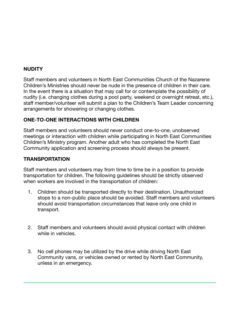#### **NUDITY**

Staff members and volunteers in North East Communities Church of the Nazarene Children's Ministries should never be nude in the presence of children in their care. In the event there is a situation that may call for or contemplate the possibility of nudity (i.e. changing clothes during a pool party, weekend or overnight retreat, etc.), staff member/volunteer will submit a plan to the Children's Team Leader concerning arrangements for showering or changing clothes.

#### **ONE-TO-ONE INTERACTIONS WITH CHILDREN**

Staff members and volunteers should never conduct one-to-one, unobserved meetings or interaction with children while participating in North East Communities Children's Ministry program. Another adult who has completed the North East Community application and screening process should always be present.

#### **TRANSPORTATION**

Staff members and volunteers may from time to time be in a position to provide transportation for children. The following guidelines should be strictly observed when workers are involved in the transportation of children:

- 1. Children should be transported directly to their destination. Unauthorized stops to a non-public place should be avoided. Staff members and volunteers should avoid transportation circumstances that leave only one child in transport.
- 2. Staff members and volunteers should avoid physical contact with children while in vehicles.
- 3. No cell phones may be utilized by the drive while driving North East Community vans, or vehicles owned or rented by North East Community, unless in an emergency.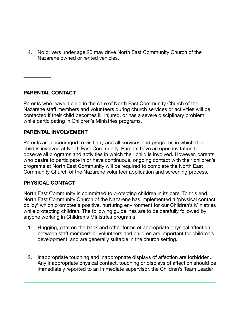4. No drivers under age 25 may drive North East Community Church of the Nazarene owned or rented vehicles.

**PARENTAL CONTACT** 

Parents who leave a child in the care of North East Community Church of the Nazarene staff members and volunteers during church services or activities will be contacted if their child becomes ill, injured, or has a severe disciplinary problem while participating in Children's Ministries programs.

#### **PARENTAL INVOLVEMENT**

Parents are encouraged to visit any and all services and programs in which their child is involved at North East Community. Parents have an open invitation to observe all programs and activities in which their child is involved. However, parents who desire to participate in or have continuous, ongoing contact with their children's programs at North East Community will be required to complete the North East Community Church of the Nazarene volunteer application and screening process.

#### **PHYSICAL CONTACT**

North East Community is committed to protecting children in its care. To this end, North East Community Church of the Nazarene has implemented a 'physical contact policy' which promotes a positive, nurturing environment for our Children's Ministries while protecting children. The following guidelines are to be carefully followed by anyone working in Children's Ministries programs:

- 1. Hugging, pats on the back and other forms of appropriate physical affection between staff members or volunteers and children are important for children's development, and are generally suitable in the church setting.
- 2. Inappropriate touching and inappropriate displays of affection are forbidden. Any inappropriate physical contact, touching or displays of affection should be immediately reported to an immediate supervisor, the Children's Team Leader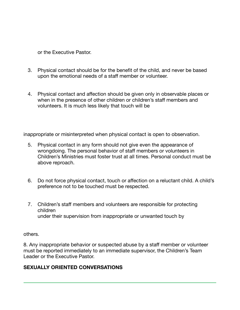or the Executive Pastor.

- 3. Physical contact should be for the benefit of the child, and never be based upon the emotional needs of a staff member or volunteer.
- 4. Physical contact and affection should be given only in observable places or when in the presence of other children or children's staff members and volunteers. It is much less likely that touch will be

inappropriate or misinterpreted when physical contact is open to observation.

- 5. Physical contact in any form should not give even the appearance of wrongdoing. The personal behavior of staff members or volunteers in Children's Ministries must foster trust at all times. Personal conduct must be above reproach.
- 6. Do not force physical contact, touch or affection on a reluctant child. A child's preference not to be touched must be respected.
- 7. Children's staff members and volunteers are responsible for protecting children under their supervision from inappropriate or unwanted touch by

others.

8. Any inappropriate behavior or suspected abuse by a staff member or volunteer must be reported immediately to an immediate supervisor, the Children's Team Leader or the Executive Pastor.

#### **SEXUALLY ORIENTED CONVERSATIONS**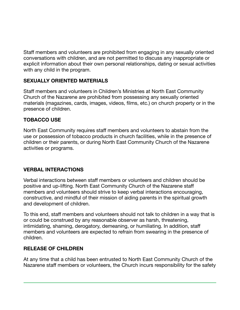Staff members and volunteers are prohibited from engaging in any sexually oriented conversations with children, and are not permitted to discuss any inappropriate or explicit information about their own personal relationships, dating or sexual activities with any child in the program.

# **SEXUALLY ORIENTED MATERIALS**

Staff members and volunteers in Children's Ministries at North East Community Church of the Nazarene are prohibited from possessing any sexually oriented materials (magazines, cards, images, videos, films, etc.) on church property or in the presence of children.

#### **TOBACCO USE**

North East Community requires staff members and volunteers to abstain from the use or possession of tobacco products in church facilities, while in the presence of children or their parents, or during North East Community Church of the Nazarene activities or programs.

# **VERBAL INTERACTIONS**

Verbal interactions between staff members or volunteers and children should be positive and up-lifting. North East Community Church of the Nazarene staff members and volunteers should strive to keep verbal interactions encouraging, constructive, and mindful of their mission of aiding parents in the spiritual growth and development of children.

To this end, staff members and volunteers should not talk to children in a way that is or could be construed by any reasonable observer as harsh, threatening, intimidating, shaming, derogatory, demeaning, or humiliating. In addition, staff members and volunteers are expected to refrain from swearing in the presence of children.

# **RELEASE OF CHILDREN**

At any time that a child has been entrusted to North East Community Church of the Nazarene staff members or volunteers, the Church incurs responsibility for the safety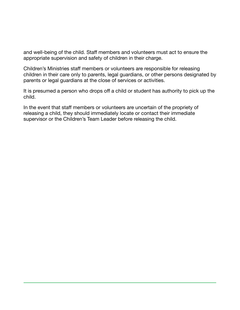and well-being of the child. Staff members and volunteers must act to ensure the appropriate supervision and safety of children in their charge.

Children's Ministries staff members or volunteers are responsible for releasing children in their care only to parents, legal guardians, or other persons designated by parents or legal guardians at the close of services or activities.

It is presumed a person who drops off a child or student has authority to pick up the child.

In the event that staff members or volunteers are uncertain of the propriety of releasing a child, they should immediately locate or contact their immediate supervisor or the Children's Team Leader before releasing the child.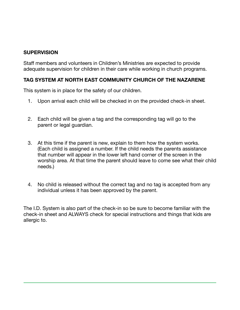#### **SUPERVISION**

Staff members and volunteers in Children's Ministries are expected to provide adequate supervision for children in their care while working in church programs.

#### **TAG SYSTEM AT NORTH EAST COMMUNITY CHURCH OF THE NAZARENE**

This system is in place for the safety of our children.

- 1. Upon arrival each child will be checked in on the provided check-in sheet.
- 2. Each child will be given a tag and the corresponding tag will go to the parent or legal guardian.
- 3. At this time if the parent is new, explain to them how the system works. (Each child is assigned a number. If the child needs the parents assistance that number will appear in the lower left hand corner of the screen in the worship area. At that time the parent should leave to come see what their child needs.)
- 4. No child is released without the correct tag and no tag is accepted from any individual unless it has been approved by the parent.

The I.D. System is also part of the check-in so be sure to become familiar with the check-in sheet and ALWAYS check for special instructions and things that kids are allergic to.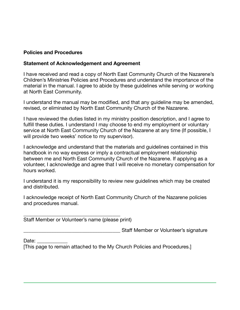#### **Policies and Procedures**

#### **Statement of Acknowledgement and Agreement**

I have received and read a copy of North East Community Church of the Nazarene's Children's Ministries Policies and Procedures and understand the importance of the material in the manual. I agree to abide by these guidelines while serving or working at North East Community.

I understand the manual may be modified, and that any guideline may be amended, revised, or eliminated by North East Community Church of the Nazarene.

I have reviewed the duties listed in my ministry position description, and I agree to fulfill these duties. I understand I may choose to end my employment or voluntary service at North East Community Church of the Nazarene at any time (If possible, I will provide two weeks' notice to my supervisor).

I acknowledge and understand that the materials and guidelines contained in this handbook in no way express or imply a contractual employment relationship between me and North East Community Church of the Nazarene. If applying as a volunteer, I acknowledge and agree that I will receive no monetary compensation for hours worked.

I understand it is my responsibility to review new guidelines which may be created and distributed.

I acknowledge receipt of North East Community Church of the Nazarene policies and procedures manual.

\_\_\_\_\_\_\_\_\_\_\_\_\_\_\_\_\_\_\_\_\_\_\_\_\_\_\_\_\_\_\_\_\_\_\_\_\_\_ Staff Member or Volunteer's name (please print)

Staff Member or Volunteer's signature

Date:

[This page to remain attached to the My Church Policies and Procedures.]